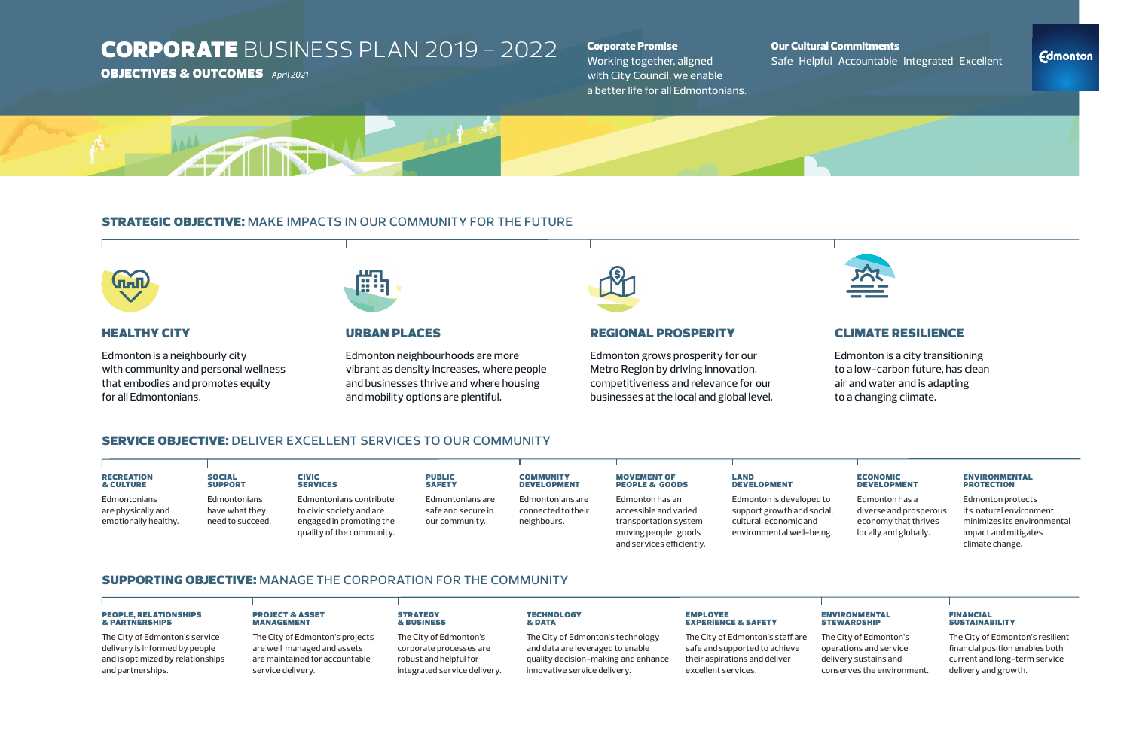## **CORPORATE BUSINESS PLAN 2019 - 2022**

## **OBJECTIVES & OUTCOMES** April 2021

Edmonton is a neighbourly city with community and personal wellness that embodies and promotes equity for all Edmontonians.



## **URBAN PLACES**

Edmonton grows prosperity for our Metro Region by driving innovation, competitiveness and relevance for our businesses at the local and global level.

## **SERVICE OBJECTIVE: DELIVER EXCELLENT SERVICES TO OUR COMMUNITY**

Edmonton is a city transitioning to a low-carbon future, has clean air and water and is adapting to a changing climate.

#### **ECONOMIC DEVELOPMENT**

Edmonton neighbourhoods are more vibrant as density increases, where people and businesses thrive and where housing and mobility options are plentiful.



## **REGIONAL PROSPERITY**

and services efficiently.

| <b>RECREATION</b>    | <b>SOCIAL</b>    | <b>CIVIC</b>              | <b>PUBLIC</b>      | <b>COMMUNITY</b>   | <b>MOVEMENT OF</b>        | LAND                       |
|----------------------|------------------|---------------------------|--------------------|--------------------|---------------------------|----------------------------|
| <b>&amp; CULTURE</b> | <b>SUPPORT</b>   | <b>SERVICES</b>           | <b>SAFETY</b>      | <b>DEVELOPMENT</b> | <b>PEOPLE &amp; GOODS</b> | <b>DEVELOPMENT</b>         |
| Edmontonians         | Edmontonians     | Edmontonians contribute   | Edmontonians are   | Edmontonians are   | Edmonton has an           | Edmonton is developed to   |
| are physically and   | have what they   | to civic society and are  | safe and secure in | connected to their | accessible and varied     | support growth and social, |
| emotionally healthy. | need to succeed. | engaged in promoting the  | our community.     | neighbours.        | transportation system     | cultural, economic and     |
|                      |                  | quality of the community. |                    |                    | moving people, goods      | environmental well-being.  |

## **SUPPORTING OBJECTIVE: MANAGE THE CORPORATION FOR THE COMMUNITY**

#### **PEOPLE, RELATIONSHIPS & PARTNERSHIPS**

The City of Edmonton's staff are safe and supported to achieve their aspirations and deliver excellent services.

Edmonton has a diverse and prosperous economy that thrives locally and globally.

#### **ENVIRONMENTAL PROTECTION**

Edmonton protects its natural environment, minimizes its environmental impact and mitigates climate change.

#### **ENVIRONMENTAL STEWARDSHIP**

he City of Edmonton's service delivery is informed by people and is optimized by relationships and partnerships.

#### **PROJECT & ASSET MANAGEMENT**

he City of Edmonton's projects are well managed and assets are maintained for accountable service delivery.

#### **STRATEGY** & BUSINESS

he City of Edmonton's corporate processes are robust and helpful for integrated service delivery.

#### **TECHNOLOGY & DATA**

he City of Edmonton's technology and data are leveraged to enable quality decision-making and enhance innovative service delivery.

### **EMPLOYEE EXPERIENCE & SAFETY**

he City of Edmonton's operations and service delivery sustains and conserves the environment.

#### **FINANCIAL SUSTAINABILITY**

he City of Edmonton's resilient financial position enables both current and long-term service delivery and growth.

## Our Cultural Commitments Safe Helpful Accountable Integrated Excellent

## **Fdmonton**



## **CLIMATE RESILIENCE**

## Corporate Promise

Working together, aligned with City Council, we enable a better life for all Edmontonians.



## **STRATEGIC OBJECTIVE: MAKE IMPACTS IN OUR COMMUNITY FOR THE FUTURE**



## **HEALTHY CITY**